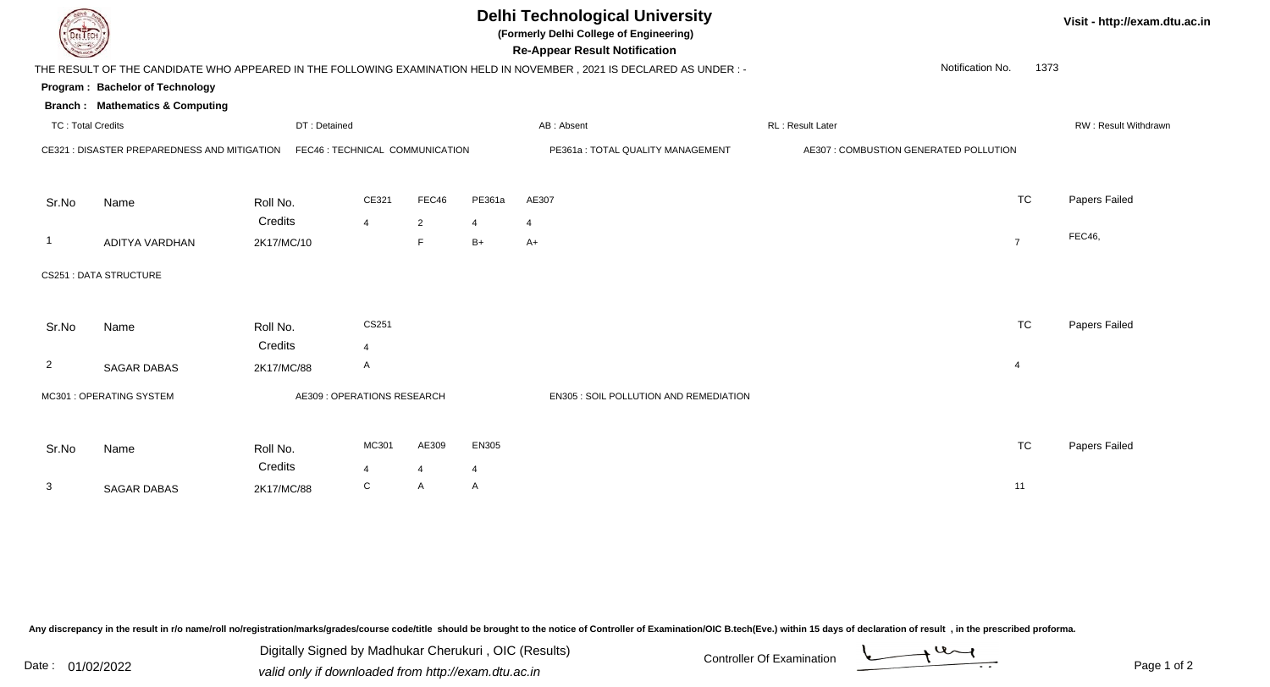|                          |                                                                               |                                 |                |                |                | <b>Delhi Technological University</b><br>(Formerly Delhi College of Engineering)<br><b>Re-Appear Result Notification</b> |                                        |           | Visit - http://exam.dtu.ac.in |
|--------------------------|-------------------------------------------------------------------------------|---------------------------------|----------------|----------------|----------------|--------------------------------------------------------------------------------------------------------------------------|----------------------------------------|-----------|-------------------------------|
|                          |                                                                               |                                 |                |                |                | THE RESULT OF THE CANDIDATE WHO APPEARED IN THE FOLLOWING EXAMINATION HELD IN NOVEMBER, 2021 IS DECLARED AS UNDER :-     | Notification No.                       | 1373      |                               |
|                          | Program: Bachelor of Technology<br><b>Branch: Mathematics &amp; Computing</b> |                                 |                |                |                |                                                                                                                          |                                        |           |                               |
| <b>TC: Total Credits</b> |                                                                               | DT: Detained                    |                |                |                | AB: Absent                                                                                                               | RL: Result Later                       |           | RW: Result Withdrawn          |
|                          | CE321 : DISASTER PREPAREDNESS AND MITIGATION                                  | FEC46 : TECHNICAL COMMUNICATION |                |                |                | PE361a: TOTAL QUALITY MANAGEMENT                                                                                         | AE307 : COMBUSTION GENERATED POLLUTION |           |                               |
| Sr.No                    | Name                                                                          | Roll No.                        | CE321          | FEC46          | PE361a         | AE307                                                                                                                    |                                        | <b>TC</b> | Papers Failed                 |
|                          |                                                                               | Credits                         | $\overline{4}$ | $\overline{2}$ | $\overline{4}$ | 4                                                                                                                        |                                        |           |                               |
| -1                       | ADITYA VARDHAN                                                                | 2K17/MC/10                      |                | F              | $B+$           | $A+$                                                                                                                     | $\overline{7}$                         |           | <b>FEC46,</b>                 |
|                          | <b>CS251 : DATA STRUCTURE</b>                                                 |                                 |                |                |                |                                                                                                                          |                                        |           |                               |
| Sr.No                    | Name                                                                          | Roll No.                        | CS251          |                |                |                                                                                                                          |                                        | <b>TC</b> | Papers Failed                 |
| $\overline{2}$           |                                                                               | Credits                         | 4<br>A         |                |                |                                                                                                                          | $\overline{4}$                         |           |                               |
|                          | <b>SAGAR DABAS</b>                                                            | 2K17/MC/88                      |                |                |                |                                                                                                                          |                                        |           |                               |
|                          | MC301 : OPERATING SYSTEM                                                      | AE309 : OPERATIONS RESEARCH     |                |                |                | EN305 : SOIL POLLUTION AND REMEDIATION                                                                                   |                                        |           |                               |
|                          |                                                                               |                                 |                |                |                |                                                                                                                          |                                        |           |                               |
| Sr.No                    | Name                                                                          | Roll No.                        | MC301          | AE309          | <b>EN305</b>   |                                                                                                                          |                                        | <b>TC</b> | Papers Failed                 |
|                          |                                                                               | Credits                         | $\overline{4}$ | $\overline{4}$ | $\overline{4}$ |                                                                                                                          |                                        |           |                               |
| $\mathbf{3}$             | <b>SAGAR DABAS</b>                                                            | 2K17/MC/88                      | C              | A              | A              |                                                                                                                          | 11                                     |           |                               |

Digitally Signed by Madhukar Cherukuri, OIC (Results)<br>Date : 01/02/2022 valid only if downloaded from http://oxam.dtu.ac.in Digitally Signed by Madhukar Cherukuri , OIC (Results)valid only if downloaded from http://exam.dtu.ac.in

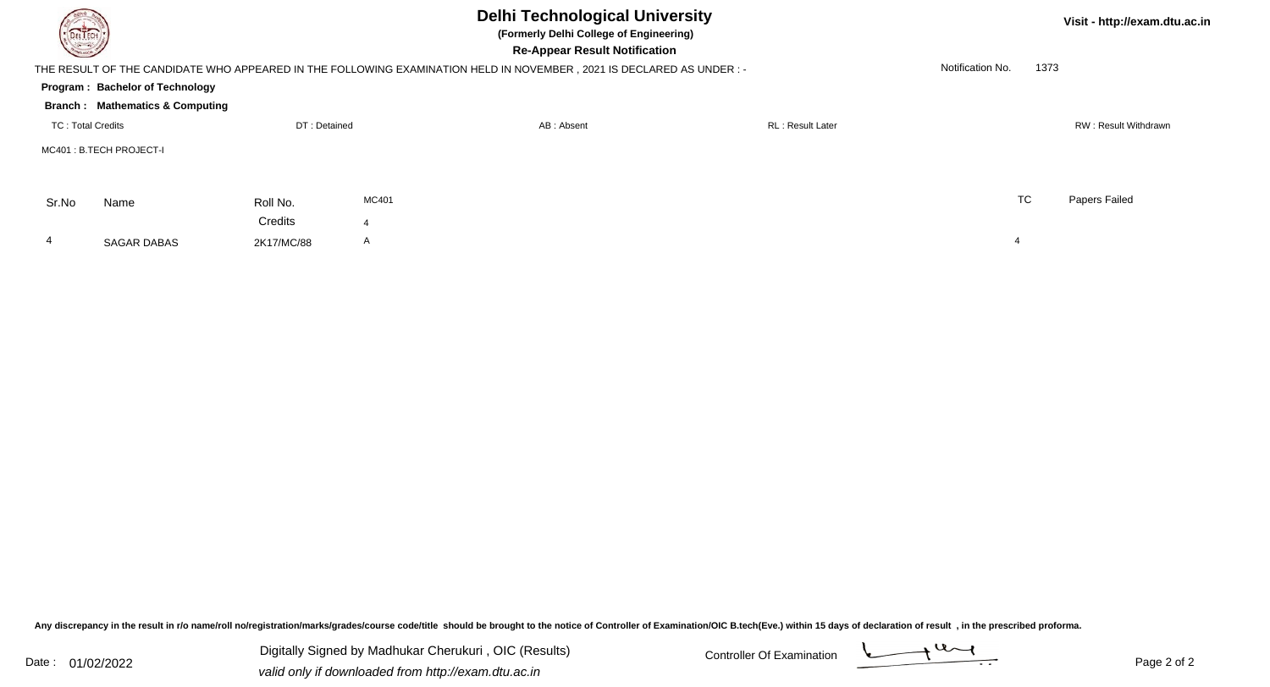| DELTECH                  |                                            |              |                | Visit - http://exam.dtu.ac.in                                                                                       |                          |                  |      |                      |
|--------------------------|--------------------------------------------|--------------|----------------|---------------------------------------------------------------------------------------------------------------------|--------------------------|------------------|------|----------------------|
|                          |                                            |              |                | THE RESULT OF THE CANDIDATE WHO APPEARED IN THE FOLLOWING EXAMINATION HELD IN NOVEMBER, 2021 IS DECLARED AS UNDER:- |                          | Notification No. | 1373 |                      |
|                          | Program: Bachelor of Technology            |              |                |                                                                                                                     |                          |                  |      |                      |
|                          | <b>Branch: Mathematics &amp; Computing</b> |              |                |                                                                                                                     |                          |                  |      |                      |
| <b>TC: Total Credits</b> |                                            | DT: Detained |                | AB: Absent                                                                                                          | <b>RL</b> : Result Later |                  |      | RW: Result Withdrawn |
|                          | MC401: B.TECH PROJECT-I                    |              |                |                                                                                                                     |                          |                  |      |                      |
| Sr.No                    | Name                                       | Roll No.     | MC401          |                                                                                                                     |                          | <b>TC</b>        |      | Papers Failed        |
|                          |                                            | Credits      | $\overline{4}$ |                                                                                                                     |                          |                  |      |                      |
| 4                        | <b>SAGAR DABAS</b>                         | 2K17/MC/88   | $\mathsf{A}$   |                                                                                                                     |                          | 4                |      |                      |

Digitally Signed by Madhukar Cherukuri, OIC (Results) Controller Of Examination Controller Of Examination Digitally Signed by Madhukar Cherukuri , OIC (Results)valid only if downloaded from http://exam.dtu.ac.in

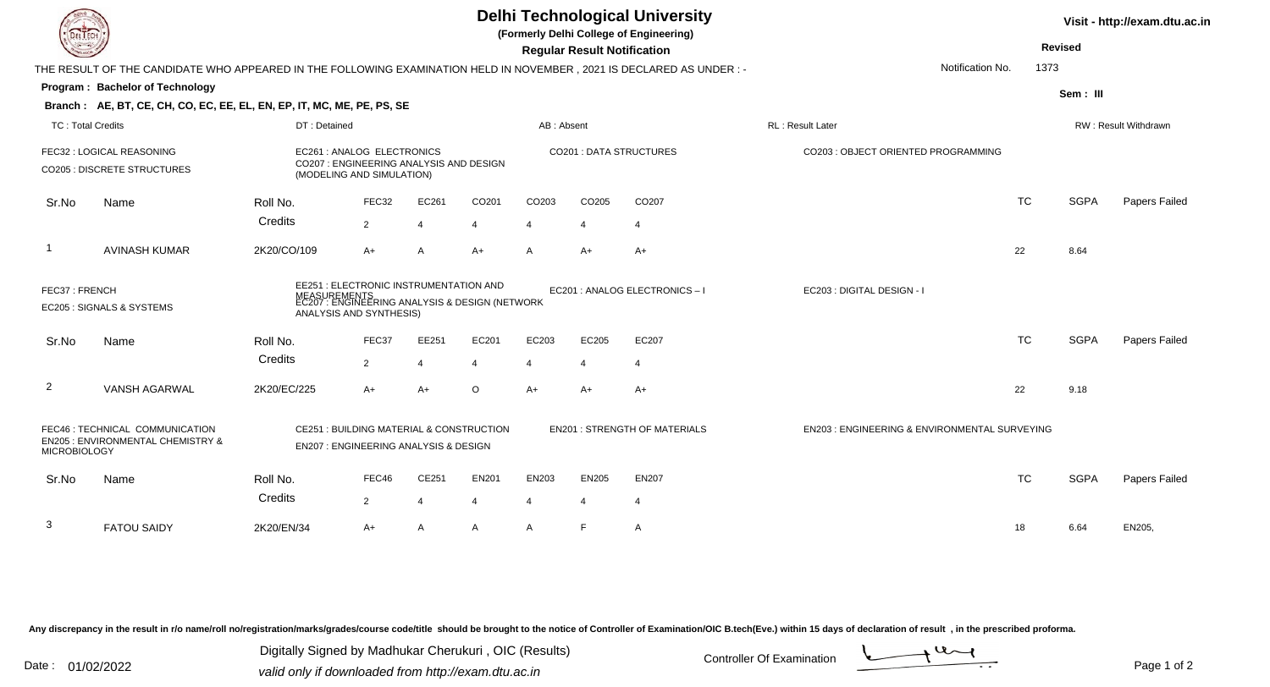| <b>DELTECH</b>                                                                                                                                                                    |                                                                                                                      |                                                                                                    |                |                |                |                                      | <b>Regular Result Notification</b>            | <b>Delhi Technological University</b><br>(Formerly Delhi College of Engineering) |                                     |                  | <b>Revised</b>       | Visit - http://exam.dtu.ac.in |
|-----------------------------------------------------------------------------------------------------------------------------------------------------------------------------------|----------------------------------------------------------------------------------------------------------------------|----------------------------------------------------------------------------------------------------|----------------|----------------|----------------|--------------------------------------|-----------------------------------------------|----------------------------------------------------------------------------------|-------------------------------------|------------------|----------------------|-------------------------------|
|                                                                                                                                                                                   | THE RESULT OF THE CANDIDATE WHO APPEARED IN THE FOLLOWING EXAMINATION HELD IN NOVEMBER, 2021 IS DECLARED AS UNDER :- |                                                                                                    |                |                |                |                                      |                                               |                                                                                  |                                     | Notification No. | 1373                 |                               |
|                                                                                                                                                                                   | Program: Bachelor of Technology                                                                                      |                                                                                                    |                |                |                |                                      |                                               |                                                                                  |                                     |                  | Sem: III             |                               |
|                                                                                                                                                                                   | Branch: AE, BT, CE, CH, CO, EC, EE, EL, EN, EP, IT, MC, ME, PE, PS, SE                                               |                                                                                                    |                |                |                |                                      |                                               |                                                                                  |                                     |                  |                      |                               |
|                                                                                                                                                                                   | <b>TC: Total Credits</b><br>DT: Detained                                                                             |                                                                                                    |                |                | AB: Absent     |                                      |                                               | RL: Result Later                                                                 |                                     |                  | RW: Result Withdrawn |                               |
|                                                                                                                                                                                   | FEC32 : LOGICAL REASONING<br><b>CO205 : DISCRETE STRUCTURES</b>                                                      | EC261 : ANALOG ELECTRONICS<br>CO207 : ENGINEERING ANALYSIS AND DESIGN<br>(MODELING AND SIMULATION) |                |                |                |                                      |                                               | CO201 : DATA STRUCTURES                                                          | CO203 : OBJECT ORIENTED PROGRAMMING |                  |                      |                               |
| Sr.No                                                                                                                                                                             | Name                                                                                                                 | Roll No.                                                                                           | FEC32          | EC261          | CO201          | CO <sub>203</sub>                    | CO205                                         | CO <sub>207</sub>                                                                |                                     | <b>TC</b>        | <b>SGPA</b>          | <b>Papers Failed</b>          |
|                                                                                                                                                                                   |                                                                                                                      | Credits                                                                                            | $\overline{2}$ | $\overline{4}$ | $\overline{4}$ | $\overline{\mathbf{4}}$              | $\overline{4}$                                | $\overline{4}$                                                                   |                                     |                  |                      |                               |
|                                                                                                                                                                                   | <b>AVINASH KUMAR</b>                                                                                                 | 2K20/CO/109                                                                                        | $A+$           | A              | $A+$           | A                                    | $A+$                                          | $A+$                                                                             |                                     | 22               | 8.64                 |                               |
| EE251 : ELECTRONIC INSTRUMENTATION AND<br>FEC37: FRENCH<br>MEASUREMENTS<br>EC207 : ENGINEERING ANALYSIS & DESIGN (NETWORK<br>EC205 : SIGNALS & SYSTEMS<br>ANALYSIS AND SYNTHESIS) |                                                                                                                      |                                                                                                    |                |                |                |                                      | EC201 : ANALOG ELECTRONICS - I                | EC203 : DIGITAL DESIGN - I                                                       |                                     |                  |                      |                               |
| Sr.No                                                                                                                                                                             | Name                                                                                                                 | Roll No.                                                                                           | FEC37          | EE251          | EC201          | EC203                                | EC205                                         | EC207                                                                            |                                     | <b>TC</b>        | <b>SGPA</b>          | Papers Failed                 |
|                                                                                                                                                                                   |                                                                                                                      | Credits                                                                                            | 2              | 4              | 4              | 4                                    | $\overline{4}$                                | 4                                                                                |                                     |                  |                      |                               |
| $\overline{2}$                                                                                                                                                                    | <b>VANSH AGARWAL</b>                                                                                                 | 2K20/EC/225                                                                                        | $A+$           | $A+$           | O              | $A+$                                 | $A+$                                          | $A+$                                                                             |                                     | 22               | 9.18                 |                               |
| FEC46 : TECHNICAL COMMUNICATION<br>CE251 : BUILDING MATERIAL & CONSTRUCTION<br>EN205 : ENVIRONMENTAL CHEMISTRY &<br>EN207 : ENGINEERING ANALYSIS & DESIGN<br><b>MICROBIOLOGY</b>  |                                                                                                                      |                                                                                                    |                |                |                | <b>EN201 : STRENGTH OF MATERIALS</b> | EN203 : ENGINEERING & ENVIRONMENTAL SURVEYING |                                                                                  |                                     |                  |                      |                               |
| Sr.No                                                                                                                                                                             | Name                                                                                                                 | Roll No.                                                                                           | FEC46          | CE251          | <b>EN201</b>   | EN203                                | <b>EN205</b>                                  | <b>EN207</b>                                                                     |                                     | <b>TC</b>        | <b>SGPA</b>          | <b>Papers Failed</b>          |
|                                                                                                                                                                                   |                                                                                                                      | Credits                                                                                            | $\overline{2}$ | 4              | 4              | 4                                    | 4                                             | $\overline{4}$                                                                   |                                     |                  |                      |                               |
| 3                                                                                                                                                                                 | <b>FATOU SAIDY</b>                                                                                                   | 2K20/EN/34                                                                                         | $A+$           | A              | A              | A                                    | F                                             | A                                                                                |                                     | 18               | 6.64                 | EN205,                        |

Digitally Signed by Madhukar Cherukuri, OIC (Results)<br>Date : 01/02/2022 valid only if downloaded from http://oxam.dtu.ac.in Digitally Signed by Madhukar Cherukuri , OIC (Results)valid only if downloaded from http://exam.dtu.ac.in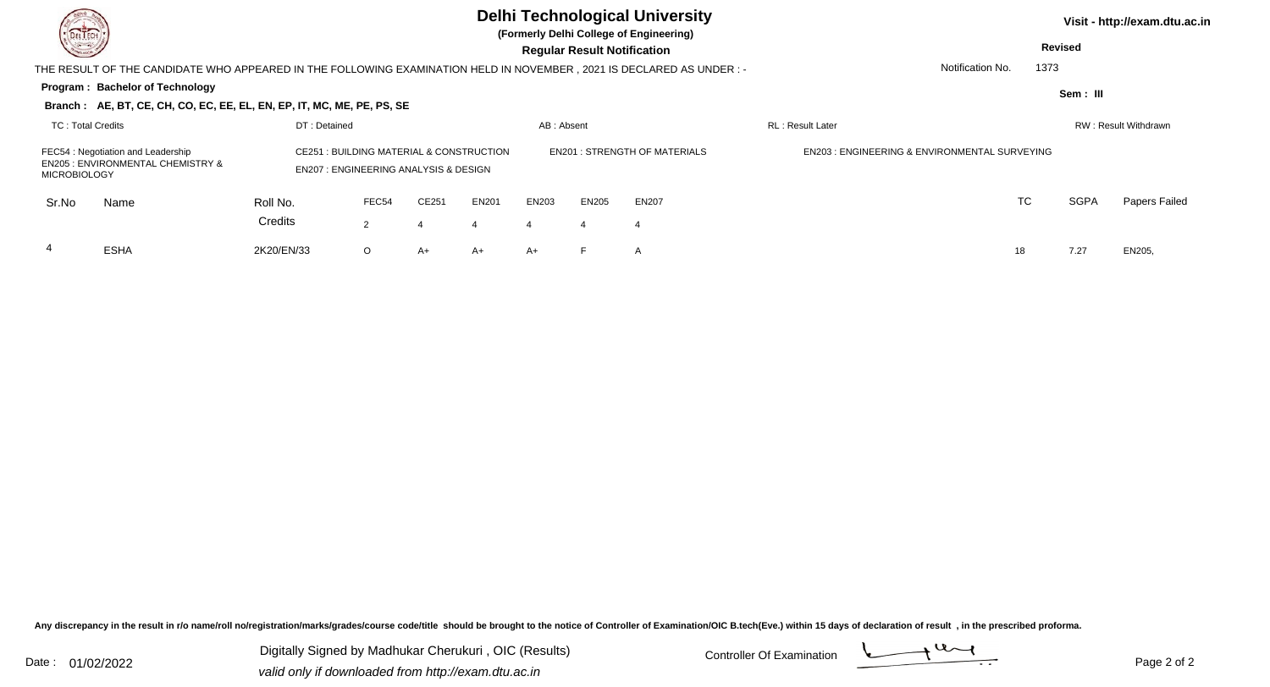| DEL TECH<br><b>Consulton</b> |                                                                                                                                                                                                                    |              |         |       |              |                  | <b>Delhi Technological University</b><br>(Formerly Delhi College of Engineering)<br><b>Regular Result Notification</b> |                                               |                  |                  | Visit - http://exam.dtu.ac.in<br><b>Revised</b> |             |                      |
|------------------------------|--------------------------------------------------------------------------------------------------------------------------------------------------------------------------------------------------------------------|--------------|---------|-------|--------------|------------------|------------------------------------------------------------------------------------------------------------------------|-----------------------------------------------|------------------|------------------|-------------------------------------------------|-------------|----------------------|
|                              | THE RESULT OF THE CANDIDATE WHO APPEARED IN THE FOLLOWING EXAMINATION HELD IN NOVEMBER , 2021 IS DECLARED AS UNDER :-                                                                                              |              |         |       |              |                  |                                                                                                                        |                                               |                  | Notification No. | 1373                                            |             |                      |
|                              | Program: Bachelor of Technology                                                                                                                                                                                    |              |         |       |              |                  |                                                                                                                        |                                               |                  |                  |                                                 | Sem: III    |                      |
|                              | Branch: AE, BT, CE, CH, CO, EC, EE, EL, EN, EP, IT, MC, ME, PE, PS, SE                                                                                                                                             |              |         |       |              |                  |                                                                                                                        |                                               |                  |                  |                                                 |             |                      |
| <b>TC: Total Credits</b>     |                                                                                                                                                                                                                    | DT: Detained |         |       |              | AB: Absent       |                                                                                                                        |                                               | RL: Result Later |                  |                                                 |             | RW: Result Withdrawn |
|                              | <b>CE251: BUILDING MATERIAL &amp; CONSTRUCTION</b><br>FEC54 : Negotiation and Leadership<br><b>EN205 : ENVIRONMENTAL CHEMISTRY &amp;</b><br><b>EN207: ENGINEERING ANALYSIS &amp; DESIGN</b><br><b>MICROBIOLOGY</b> |              |         |       |              |                  | <b>EN201 : STRENGTH OF MATERIALS</b>                                                                                   | EN203 : ENGINEERING & ENVIRONMENTAL SURVEYING |                  |                  |                                                 |             |                      |
| Sr.No                        | Name                                                                                                                                                                                                               | Roll No.     | FEC54   | CE251 | <b>EN201</b> | EN203            | EN205                                                                                                                  | <b>EN207</b>                                  |                  |                  | <b>TC</b>                                       | <b>SGPA</b> | Papers Failed        |
|                              |                                                                                                                                                                                                                    | Credits      | 2       | 4     |              | $\boldsymbol{4}$ | 4                                                                                                                      | 4                                             |                  |                  |                                                 |             |                      |
| 4                            | <b>ESHA</b>                                                                                                                                                                                                        | 2K20/EN/33   | $\circ$ | A+    | A+           | $A+$             |                                                                                                                        | A                                             |                  | 18               |                                                 | 7.27        | EN205,               |

Digitally Signed by Madhukar Cherukuri, OIC (Results) Controller Of Examination Controller Of Examination Digitally Signed by Madhukar Cherukuri , OIC (Results)valid only if downloaded from http://exam.dtu.ac.in

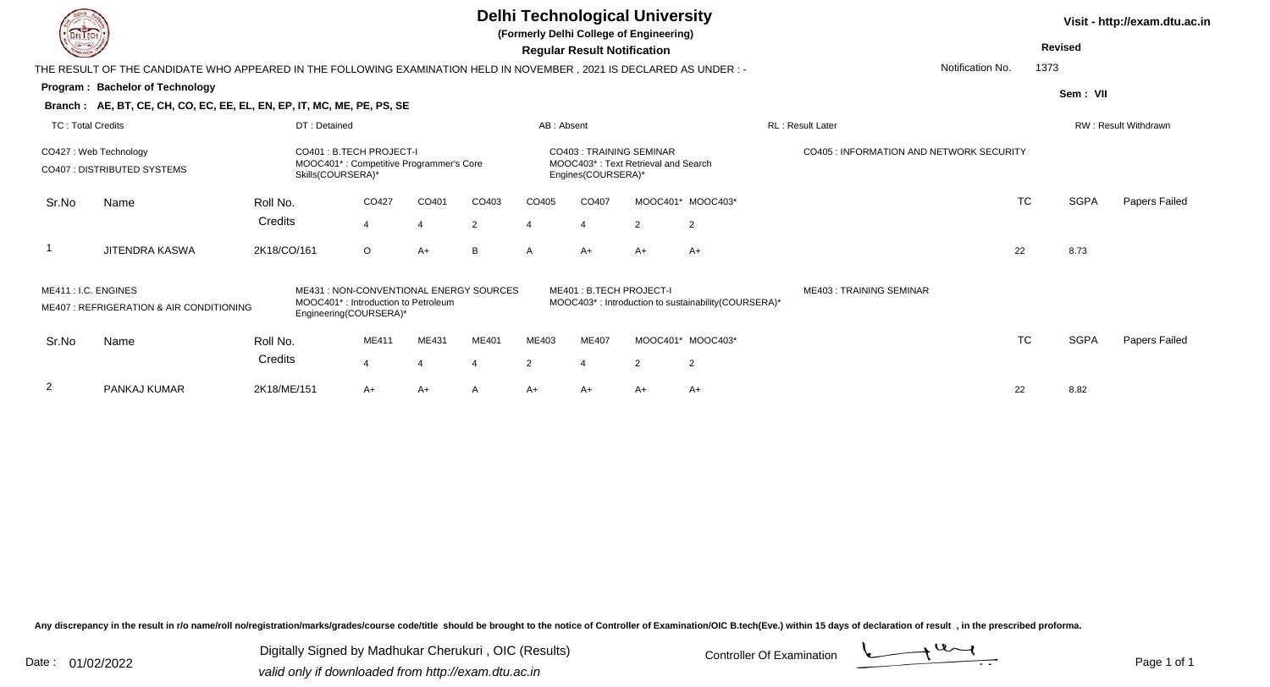|                          |                                                                                                                     |                   |                                                                                                                       |                       |       |                |                                               | <b>Delhi Technological University</b><br>(Formerly Delhi College of Engineering) |                                                      |                                                 |                  |                | Visit - http://exam.dtu.ac.in |
|--------------------------|---------------------------------------------------------------------------------------------------------------------|-------------------|-----------------------------------------------------------------------------------------------------------------------|-----------------------|-------|----------------|-----------------------------------------------|----------------------------------------------------------------------------------|------------------------------------------------------|-------------------------------------------------|------------------|----------------|-------------------------------|
|                          |                                                                                                                     |                   |                                                                                                                       |                       |       |                | <b>Regular Result Notification</b>            |                                                                                  |                                                      |                                                 |                  | <b>Revised</b> |                               |
|                          | THE RESULT OF THE CANDIDATE WHO APPEARED IN THE FOLLOWING EXAMINATION HELD IN NOVEMBER, 2021 IS DECLARED AS UNDER:- |                   |                                                                                                                       |                       |       |                |                                               |                                                                                  |                                                      |                                                 | Notification No. | 1373           |                               |
|                          | Program: Bachelor of Technology                                                                                     |                   |                                                                                                                       |                       |       |                |                                               |                                                                                  |                                                      |                                                 |                  | Sem: VII       |                               |
|                          | Branch: AE, BT, CE, CH, CO, EC, EE, EL, EN, EP, IT, MC, ME, PE, PS, SE                                              |                   |                                                                                                                       |                       |       |                |                                               |                                                                                  |                                                      |                                                 |                  |                |                               |
| <b>TC: Total Credits</b> |                                                                                                                     | DT: Detained      |                                                                                                                       |                       |       | AB: Absent     |                                               |                                                                                  |                                                      | <b>RL: Result Later</b>                         |                  |                | RW: Result Withdrawn          |
|                          | CO427: Web Technology<br>CO407: DISTRIBUTED SYSTEMS                                                                 | Skills(COURSERA)* | CO401: B.TECH PROJECT-I<br>MOOC401*: Competitive Programmer's Core                                                    |                       |       |                | CO403: TRAINING SEMINAR<br>Engines(COURSERA)* | MOOC403*: Text Retrieval and Search                                              |                                                      | <b>CO405 : INFORMATION AND NETWORK SECURITY</b> |                  |                |                               |
| Sr.No                    | Name                                                                                                                | Roll No.          | CO427                                                                                                                 | CO401                 | CO403 | CO405          | CO407                                         |                                                                                  | MOOC401* MOOC403*                                    |                                                 | <b>TC</b>        | <b>SGPA</b>    | Papers Failed                 |
|                          |                                                                                                                     | Credits           | $\overline{4}$                                                                                                        | $\boldsymbol{\Delta}$ | 2     | 4              |                                               | 2                                                                                | $\overline{2}$                                       |                                                 |                  |                |                               |
|                          | <b>JITENDRA KASWA</b>                                                                                               | 2K18/CO/161       | $\circ$                                                                                                               | $A+$                  | B     | A              | $A+$                                          | $A+$                                                                             | $A+$                                                 |                                                 | 22               | 8.73           |                               |
| ME411 : I.C. ENGINES     | ME407: REFRIGERATION & AIR CONDITIONING                                                                             |                   | ME431 : NON-CONVENTIONAL ENERGY SOURCES<br>MOOC401 <sup>*</sup> : Introduction to Petroleum<br>Engineering(COURSERA)* |                       |       |                | ME401: B.TECH PROJECT-I                       |                                                                                  | MOOC403*: Introduction to sustainability (COURSERA)* | <b>ME403: TRAINING SEMINAR</b>                  |                  |                |                               |
| Sr.No                    | Name                                                                                                                | Roll No.          | ME411                                                                                                                 | ME431                 | ME401 | ME403          | <b>ME407</b>                                  |                                                                                  | MOOC401* MOOC403*                                    |                                                 | <b>TC</b>        | <b>SGPA</b>    | <b>Papers Failed</b>          |
|                          |                                                                                                                     | Credits           | $\overline{4}$                                                                                                        |                       | 4     | $\overline{2}$ |                                               | $\overline{2}$                                                                   | $\overline{2}$                                       |                                                 |                  |                |                               |
| 2                        | PANKAJ KUMAR                                                                                                        | 2K18/ME/151       | $A+$                                                                                                                  | $A+$                  | A     | $A+$           | A+                                            | $A+$                                                                             | $A+$                                                 |                                                 | 22               | 8.82           |                               |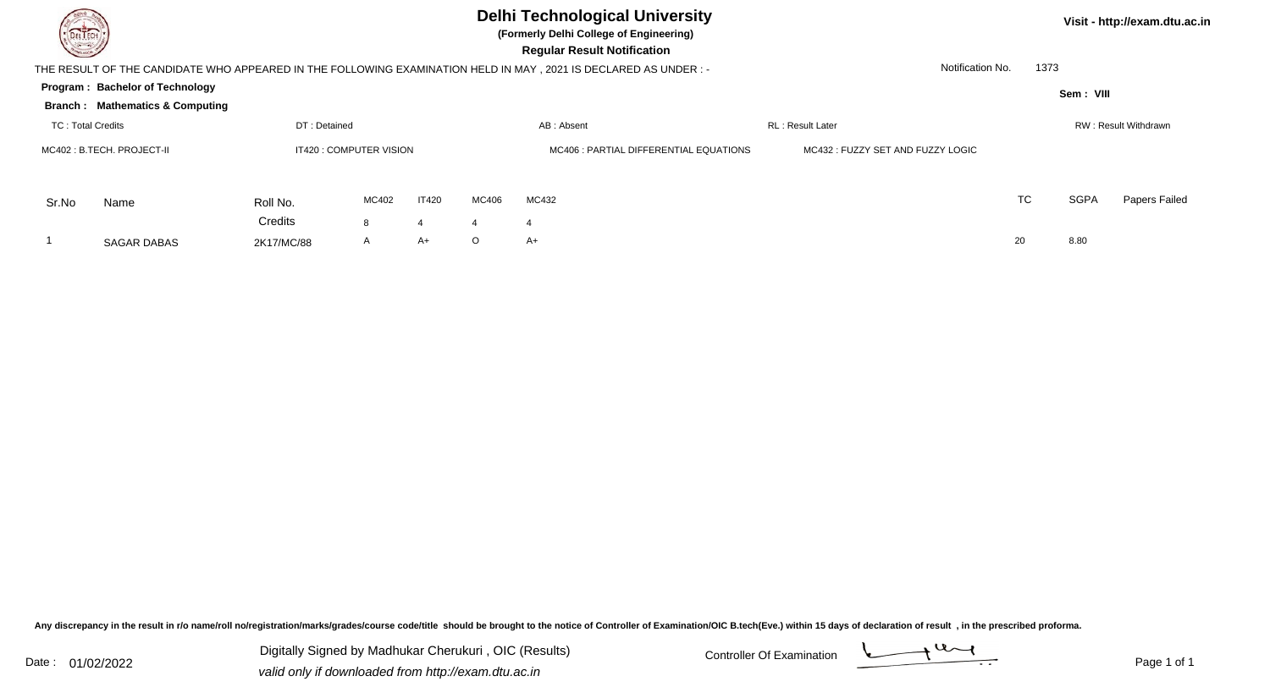

## **Delhi Technological University**

**(Formerly Delhi College of Engineering)**

**Visit - http://exam.dtu.ac.in**

 **Regular Result Notification**

|                          | THE RESULT OF THE CANDIDATE WHO APPEARED IN THE FOLLOWING EXAMINATION HELD IN MAY , 2021 IS DECLARED AS UNDER : - | Notification No. | 1373         |                                        |                                  |            |                          |    |    |             |                      |
|--------------------------|-------------------------------------------------------------------------------------------------------------------|------------------|--------------|----------------------------------------|----------------------------------|------------|--------------------------|----|----|-------------|----------------------|
|                          | Program: Bachelor of Technology                                                                                   |                  |              |                                        |                                  |            |                          |    |    | Sem: VIII   |                      |
|                          | <b>Branch: Mathematics &amp; Computing</b>                                                                        |                  |              |                                        |                                  |            |                          |    |    |             |                      |
| <b>TC: Total Credits</b> |                                                                                                                   | DT: Detained     |              |                                        |                                  | AB: Absent | <b>RL</b> : Result Later |    |    |             | RW: Result Withdrawn |
|                          | IT420 : COMPUTER VISION<br>MC402 : B.TECH. PROJECT-II                                                             |                  |              | MC406 : PARTIAL DIFFERENTIAL EQUATIONS | MC432: FUZZY SET AND FUZZY LOGIC |            |                          |    |    |             |                      |
| Sr.No                    | Name                                                                                                              | Roll No.         | MC402        | IT420                                  | MC406                            | MC432      |                          |    | TC | <b>SGPA</b> | Papers Failed        |
|                          |                                                                                                                   | Credits          | 8            |                                        |                                  |            |                          |    |    |             |                      |
|                          | <b>SAGAR DABAS</b>                                                                                                | 2K17/MC/88       | $\mathsf{A}$ | A+                                     | $\circ$                          | A+         |                          | 20 |    | 8.80        |                      |

Any discrepancy in the result in r/o name/roll no/registration/marks/grades/course code/title should be brought to the notice of Controller of Examination/OIC B.tech(Eve.) within 15 days of declaration of result, in the pr

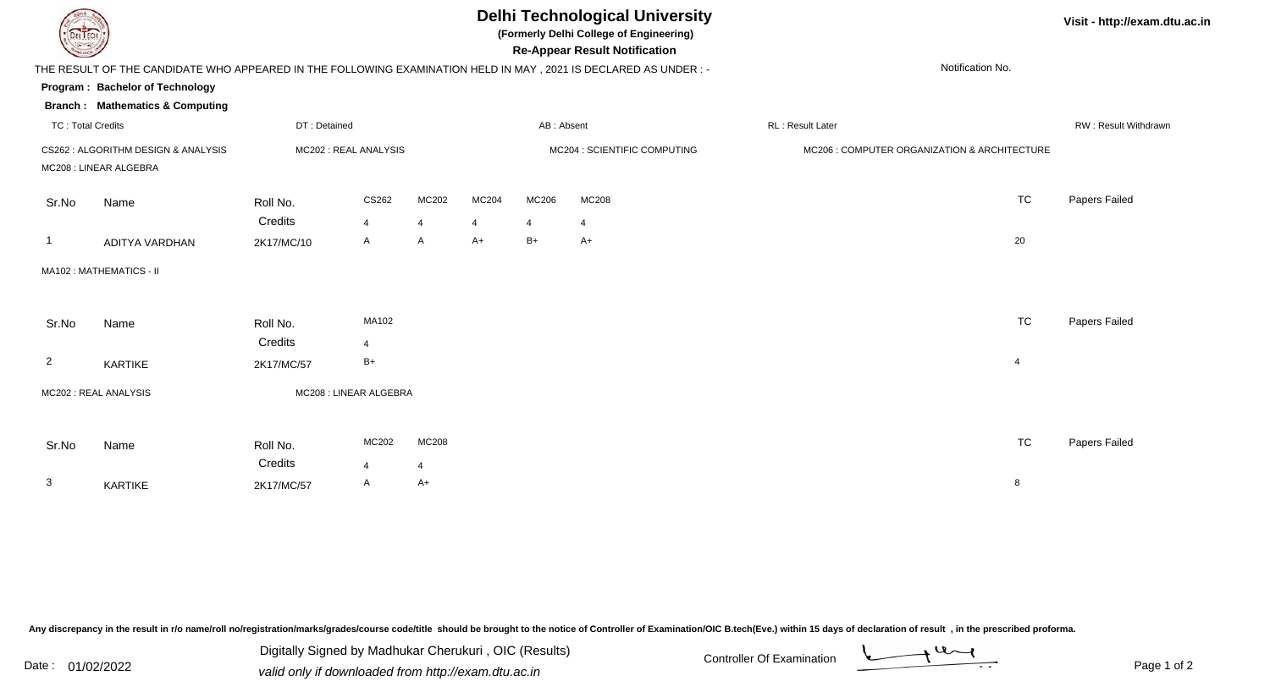## **Delhi Technological University**

**(Formerly Delhi College of Engineering)**

**Re-Appear Result Notification**

## **Visit - http://exam.dtu.ac.in**

|                | THE RESULT OF THE CANDIDATE WHO APPEARED IN THE FOLLOWING EXAMINATION HELD IN MAY, 2021 IS DECLARED AS UNDER :-<br>Program: Bachelor of Technology |                     |                         |                              |           |                        |                                              |                  | Notification No.     |               |
|----------------|----------------------------------------------------------------------------------------------------------------------------------------------------|---------------------|-------------------------|------------------------------|-----------|------------------------|----------------------------------------------|------------------|----------------------|---------------|
|                | <b>Branch: Mathematics &amp; Computing</b>                                                                                                         |                     |                         |                              |           |                        |                                              |                  |                      |               |
|                | <b>TC: Total Credits</b><br>DT: Detained                                                                                                           |                     |                         |                              |           | AB: Absent             |                                              | RL: Result Later | RW: Result Withdrawr |               |
|                | CS262 : ALGORITHM DESIGN & ANALYSIS<br>MC202 : REAL ANALYSIS<br>MC208 : LINEAR ALGEBRA                                                             |                     |                         | MC204 : SCIENTIFIC COMPUTING |           |                        | MC206 : COMPUTER ORGANIZATION & ARCHITECTURE |                  |                      |               |
| Sr.No          | Name                                                                                                                                               | Roll No.<br>Credits | CS262                   | MC202                        | MC204     | MC206                  | MC208                                        |                  | <b>TC</b>            | Papers Failed |
| - 1            | <b>ADITYA VARDHAN</b>                                                                                                                              | 2K17/MC/10          | $\overline{4}$<br>A     | 4<br>$\mathsf{A}$            | 4<br>$A+$ | $\overline{4}$<br>$B+$ | 4<br>$A+$                                    |                  | 20                   |               |
|                | MA102: MATHEMATICS - II                                                                                                                            |                     |                         |                              |           |                        |                                              |                  |                      |               |
| Sr.No          | Name                                                                                                                                               | Roll No.<br>Credits | MA102<br>$\overline{4}$ |                              |           |                        |                                              |                  | <b>TC</b>            | Papers Failed |
| $\overline{2}$ | KARTIKE                                                                                                                                            | 2K17/MC/57          | B+                      |                              |           |                        |                                              |                  | $\overline{4}$       |               |
|                | MC202 : REAL ANALYSIS                                                                                                                              |                     | MC208 : LINEAR ALGEBRA  |                              |           |                        |                                              |                  |                      |               |
| Sr.No          | Name                                                                                                                                               | Roll No.<br>Credits | MC202                   | <b>MC208</b>                 |           |                        |                                              |                  | <b>TC</b>            | Papers Failed |
| 3              | KARTIKE                                                                                                                                            | 2K17/MC/57          | $\overline{4}$<br>A     | 4<br>$A+$                    |           |                        |                                              |                  | 8                    |               |

Any discrepancy in the result in r/o name/roll no/registration/marks/grades/course code/title should be brought to the notice of Controller of Examination/OIC B.tech(Eve.) within 15 days of declaration of result, in the pr

Digitally Signed by Madhukar Cherukuri, OIC (Results)<br>Date : 01/02/2022 valid only if douglooded from http://ovem.dtu.co.in Digitally Signed by Madhukar Cherukuri , OIC (Results)valid only if downloaded from http://exam.dtu.ac.in